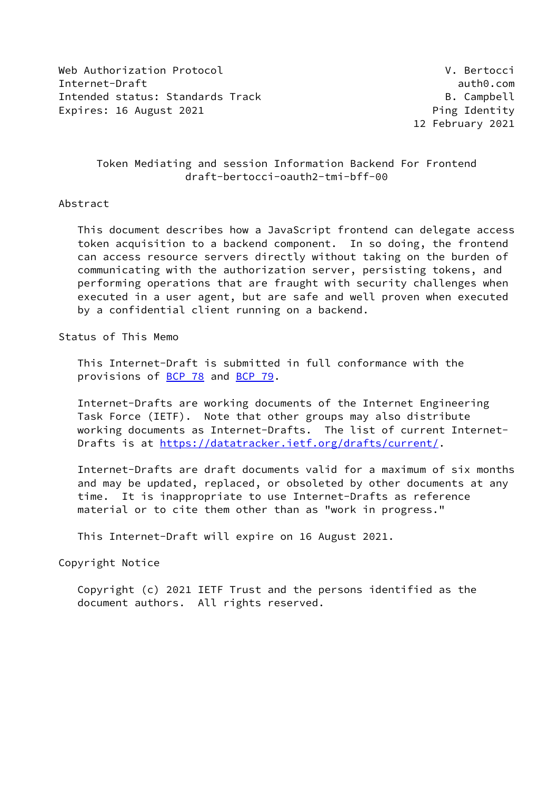Web Authorization Protocol V. Bertocci Internet-Draft auth0.com Intended status: Standards Track B. Campbell Expires: 16 August 2021 **Ping Identity** 

12 February 2021

## Token Mediating and session Information Backend For Frontend draft-bertocci-oauth2-tmi-bff-00

### Abstract

 This document describes how a JavaScript frontend can delegate access token acquisition to a backend component. In so doing, the frontend can access resource servers directly without taking on the burden of communicating with the authorization server, persisting tokens, and performing operations that are fraught with security challenges when executed in a user agent, but are safe and well proven when executed by a confidential client running on a backend.

Status of This Memo

 This Internet-Draft is submitted in full conformance with the provisions of **BCP 78** and **BCP 79**.

 Internet-Drafts are working documents of the Internet Engineering Task Force (IETF). Note that other groups may also distribute working documents as Internet-Drafts. The list of current Internet Drafts is at<https://datatracker.ietf.org/drafts/current/>.

 Internet-Drafts are draft documents valid for a maximum of six months and may be updated, replaced, or obsoleted by other documents at any time. It is inappropriate to use Internet-Drafts as reference material or to cite them other than as "work in progress."

This Internet-Draft will expire on 16 August 2021.

Copyright Notice

 Copyright (c) 2021 IETF Trust and the persons identified as the document authors. All rights reserved.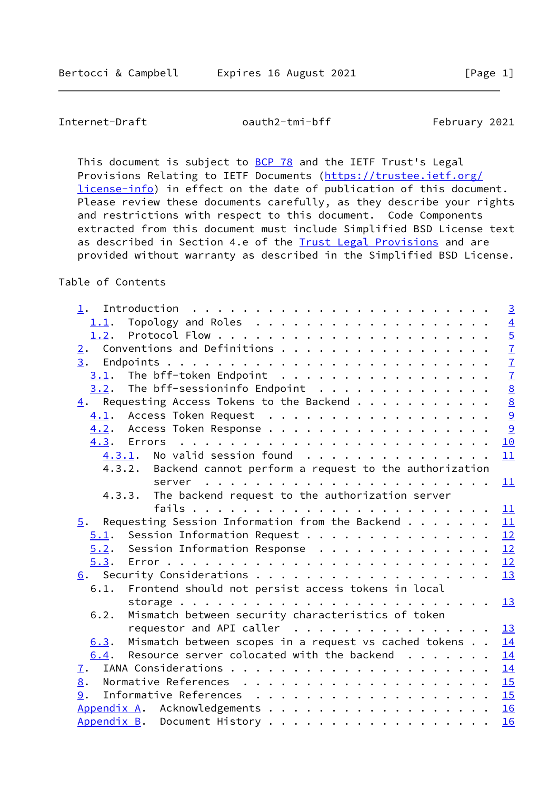Internet-Draft oauth2-tmi-bff February 2021

This document is subject to **[BCP 78](https://datatracker.ietf.org/doc/pdf/bcp78)** and the IETF Trust's Legal Provisions Relating to IETF Documents ([https://trustee.ietf.org/](https://trustee.ietf.org/license-info) [license-info](https://trustee.ietf.org/license-info)) in effect on the date of publication of this document. Please review these documents carefully, as they describe your rights and restrictions with respect to this document. Code Components extracted from this document must include Simplified BSD License text as described in Section 4.e of the [Trust Legal Provisions](https://trustee.ietf.org/license-info) and are provided without warranty as described in the Simplified BSD License.

## Table of Contents

| 1.                                                                   | $\overline{3}$                            |
|----------------------------------------------------------------------|-------------------------------------------|
| 1.1.                                                                 |                                           |
|                                                                      |                                           |
|                                                                      |                                           |
|                                                                      |                                           |
|                                                                      | $\frac{4}{5}$ $\frac{7}{7}$ $\frac{7}{7}$ |
| $3.2$ . The bff-sessioninfo Endpoint                                 | $\underline{8}$                           |
| $\underline{4}$ . Requesting Access Tokens to the Backend            |                                           |
| 4.1. Access Token Request                                            | 8<br>9<br>9                               |
| 4.2. Access Token Response                                           |                                           |
|                                                                      | 10                                        |
| $4.3.1$ . No valid session found                                     | 11                                        |
| 4.3.2. Backend cannot perform a request to the authorization         |                                           |
|                                                                      |                                           |
| 4.3.3. The backend request to the authorization server               |                                           |
|                                                                      | 11                                        |
| $\underline{5}$ . Requesting Session Information from the Backend 11 |                                           |
| 5.1. Session Information Request                                     | 12                                        |
| $5.2$ . Session Information Response 12                              |                                           |
|                                                                      |                                           |
|                                                                      | 13                                        |
| Frontend should not persist access tokens in local<br>6.1.           |                                           |
|                                                                      | 13                                        |
| Mismatch between security characteristics of token<br>6.2.           |                                           |
| requestor and API caller $\ldots \ldots \ldots \ldots \ldots \ldots$ |                                           |
| $6.3$ . Mismatch between scopes in a request vs cached tokens        | 14                                        |
| Resource server colocated with the backend<br>6.4.                   | 14                                        |
| $\mathbf{I}$ .                                                       | 14                                        |
| 8.                                                                   | 15                                        |
| 9.                                                                   |                                           |
| Appendix A. Acknowledgements 16                                      |                                           |
| Appendix B. Document History                                         | 16                                        |
|                                                                      |                                           |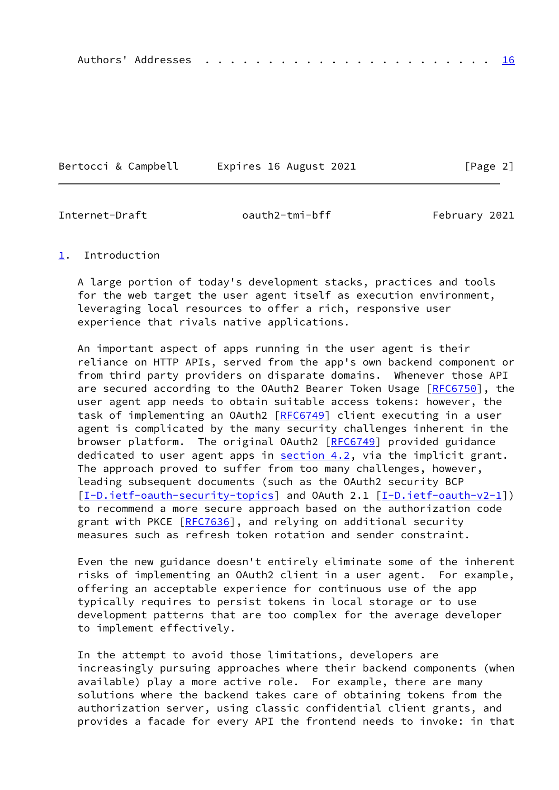|--|--|--|--|--|--|--|--|--|--|--|--|--|--|--|--|--|--|--|--|--|--|--|--|--|--|

Bertocci & Campbell Expires 16 August 2021 [Page 2]

<span id="page-2-1"></span>

Internet-Draft oauth2-tmi-bff February 2021

#### <span id="page-2-0"></span>[1](#page-2-0). Introduction

 A large portion of today's development stacks, practices and tools for the web target the user agent itself as execution environment, leveraging local resources to offer a rich, responsive user experience that rivals native applications.

 An important aspect of apps running in the user agent is their reliance on HTTP APIs, served from the app's own backend component or from third party providers on disparate domains. Whenever those API are secured according to the OAuth2 Bearer Token Usage [\[RFC6750](https://datatracker.ietf.org/doc/pdf/rfc6750)], the user agent app needs to obtain suitable access tokens: however, the task of implementing an OAuth2 [\[RFC6749](https://datatracker.ietf.org/doc/pdf/rfc6749)] client executing in a user agent is complicated by the many security challenges inherent in the browser platform. The original OAuth2 [\[RFC6749](https://datatracker.ietf.org/doc/pdf/rfc6749)] provided guidance dedicated to user agent apps in [section 4.2](#page-9-2), via the implicit grant. The approach proved to suffer from too many challenges, however, leading subsequent documents (such as the OAuth2 security BCP [\[I-D.ietf-oauth-security-topics](#page-17-3)] and OAuth 2.1 [\[I-D.ietf-oauth-v2-1](#page-17-4)]) to recommend a more secure approach based on the authorization code grant with PKCE [\[RFC7636](https://datatracker.ietf.org/doc/pdf/rfc7636)], and relying on additional security measures such as refresh token rotation and sender constraint.

 Even the new guidance doesn't entirely eliminate some of the inherent risks of implementing an OAuth2 client in a user agent. For example, offering an acceptable experience for continuous use of the app typically requires to persist tokens in local storage or to use development patterns that are too complex for the average developer to implement effectively.

 In the attempt to avoid those limitations, developers are increasingly pursuing approaches where their backend components (when available) play a more active role. For example, there are many solutions where the backend takes care of obtaining tokens from the authorization server, using classic confidential client grants, and provides a facade for every API the frontend needs to invoke: in that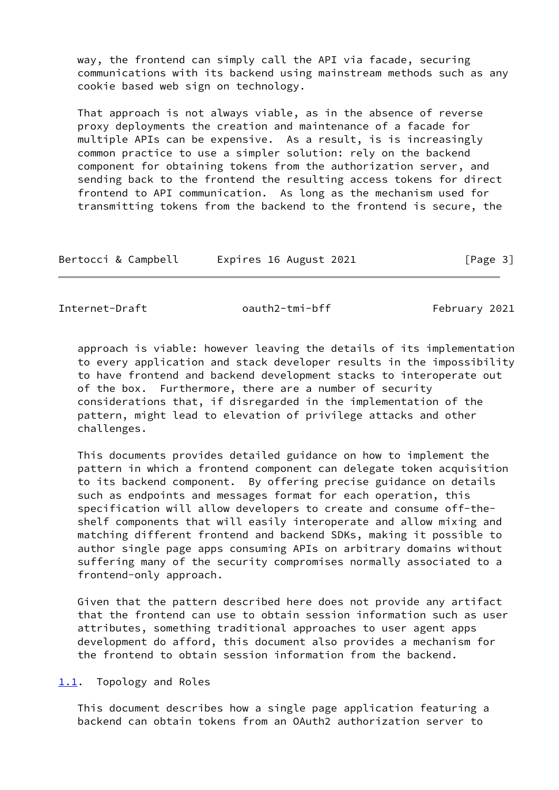way, the frontend can simply call the API via facade, securing communications with its backend using mainstream methods such as any cookie based web sign on technology.

 That approach is not always viable, as in the absence of reverse proxy deployments the creation and maintenance of a facade for multiple APIs can be expensive. As a result, is is increasingly common practice to use a simpler solution: rely on the backend component for obtaining tokens from the authorization server, and sending back to the frontend the resulting access tokens for direct frontend to API communication. As long as the mechanism used for transmitting tokens from the backend to the frontend is secure, the

| Expires 16 August 2021<br>Bertocci & Campbell | [Page 3] |
|-----------------------------------------------|----------|
|-----------------------------------------------|----------|

<span id="page-3-1"></span>Internet-Draft oauth2-tmi-bff February 2021

 approach is viable: however leaving the details of its implementation to every application and stack developer results in the impossibility to have frontend and backend development stacks to interoperate out of the box. Furthermore, there are a number of security considerations that, if disregarded in the implementation of the pattern, might lead to elevation of privilege attacks and other challenges.

 This documents provides detailed guidance on how to implement the pattern in which a frontend component can delegate token acquisition to its backend component. By offering precise guidance on details such as endpoints and messages format for each operation, this specification will allow developers to create and consume off-the shelf components that will easily interoperate and allow mixing and matching different frontend and backend SDKs, making it possible to author single page apps consuming APIs on arbitrary domains without suffering many of the security compromises normally associated to a frontend-only approach.

 Given that the pattern described here does not provide any artifact that the frontend can use to obtain session information such as user attributes, something traditional approaches to user agent apps development do afford, this document also provides a mechanism for the frontend to obtain session information from the backend.

<span id="page-3-0"></span>[1.1](#page-3-0). Topology and Roles

 This document describes how a single page application featuring a backend can obtain tokens from an OAuth2 authorization server to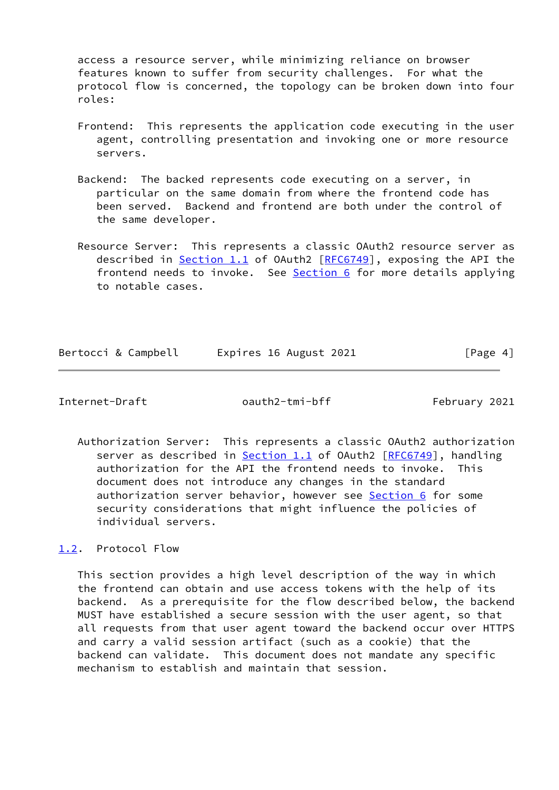access a resource server, while minimizing reliance on browser features known to suffer from security challenges. For what the protocol flow is concerned, the topology can be broken down into four roles:

- Frontend: This represents the application code executing in the user agent, controlling presentation and invoking one or more resource servers.
- Backend: The backed represents code executing on a server, in particular on the same domain from where the frontend code has been served. Backend and frontend are both under the control of the same developer.
- Resource Server: This represents a classic OAuth2 resource server as described in  $Section 1.1$  of OAuth2  $[REG749]$ , exposing the API the frontend needs to invoke. See [Section 6](#page-13-1) for more details applying to notable cases.

Bertocci & Campbell Expires 16 August 2021 [Page 4]

<span id="page-4-1"></span>Internet-Draft oauth2-tmi-bff February 2021

 Authorization Server: This represents a classic OAuth2 authorization server as described in **Section 1.1** of OAuth2 [\[RFC6749](https://datatracker.ietf.org/doc/pdf/rfc6749)], handling authorization for the API the frontend needs to invoke. This document does not introduce any changes in the standard authorization server behavior, however see [Section 6](#page-13-1) for some security considerations that might influence the policies of individual servers.

<span id="page-4-0"></span>[1.2](#page-4-0). Protocol Flow

 This section provides a high level description of the way in which the frontend can obtain and use access tokens with the help of its backend. As a prerequisite for the flow described below, the backend MUST have established a secure session with the user agent, so that all requests from that user agent toward the backend occur over HTTPS and carry a valid session artifact (such as a cookie) that the backend can validate. This document does not mandate any specific mechanism to establish and maintain that session.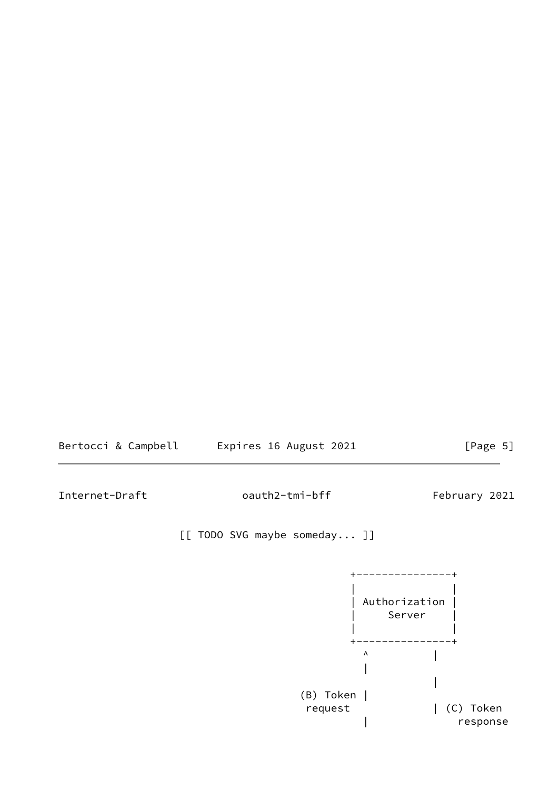

Internet-Draft oauth2-tmi-bff February 2021

[[ TODO SVG maybe someday... ]]

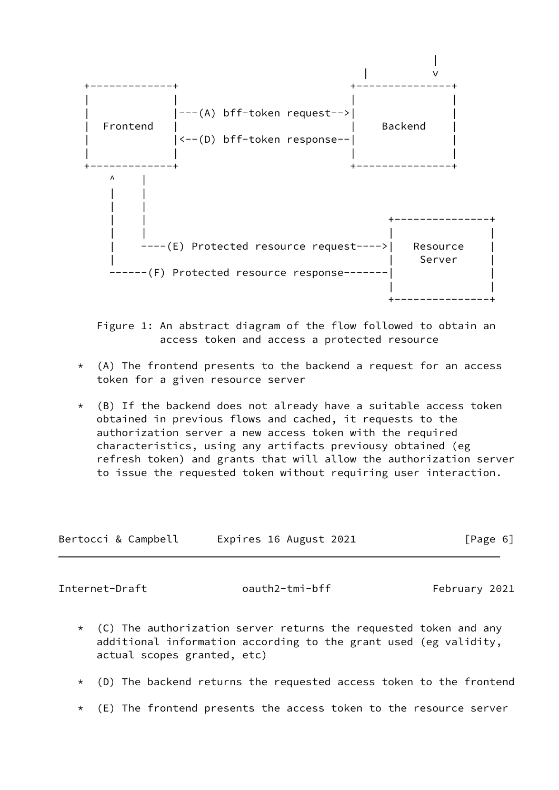

 Figure 1: An abstract diagram of the flow followed to obtain an access token and access a protected resource

- \* (A) The frontend presents to the backend a request for an access token for a given resource server
- $*$  (B) If the backend does not already have a suitable access token obtained in previous flows and cached, it requests to the authorization server a new access token with the required characteristics, using any artifacts previousy obtained (eg refresh token) and grants that will allow the authorization server to issue the requested token without requiring user interaction.

| Bertocci & Campbell | Expires 16 August 2021 | [Page 6] |
|---------------------|------------------------|----------|
|---------------------|------------------------|----------|

<span id="page-6-0"></span>Internet-Draft oauth2-tmi-bff February 2021

- $*$  (C) The authorization server returns the requested token and any additional information according to the grant used (eg validity, actual scopes granted, etc)
- \* (D) The backend returns the requested access token to the frontend
- \* (E) The frontend presents the access token to the resource server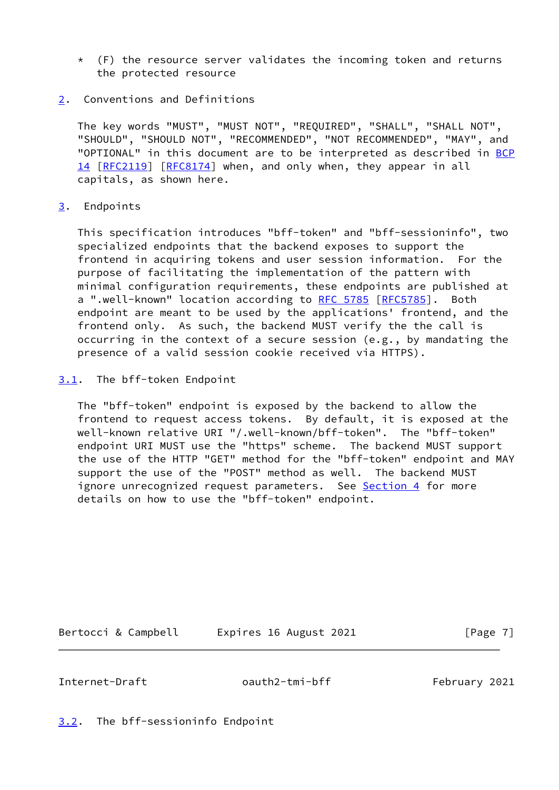- $*$  (F) the resource server validates the incoming token and returns the protected resource
- <span id="page-7-0"></span>[2](#page-7-0). Conventions and Definitions

 The key words "MUST", "MUST NOT", "REQUIRED", "SHALL", "SHALL NOT", "SHOULD", "SHOULD NOT", "RECOMMENDED", "NOT RECOMMENDED", "MAY", and "OPTIONAL" in this document are to be interpreted as described in [BCP](https://datatracker.ietf.org/doc/pdf/bcp14) [14](https://datatracker.ietf.org/doc/pdf/bcp14) [[RFC2119\]](https://datatracker.ietf.org/doc/pdf/rfc2119) [\[RFC8174](https://datatracker.ietf.org/doc/pdf/rfc8174)] when, and only when, they appear in all capitals, as shown here.

### <span id="page-7-1"></span>[3](#page-7-1). Endpoints

 This specification introduces "bff-token" and "bff-sessioninfo", two specialized endpoints that the backend exposes to support the frontend in acquiring tokens and user session information. For the purpose of facilitating the implementation of the pattern with minimal configuration requirements, these endpoints are published at a ".well-known" location according to [RFC 5785](https://datatracker.ietf.org/doc/pdf/rfc5785) [\[RFC5785](https://datatracker.ietf.org/doc/pdf/rfc5785)]. Both endpoint are meant to be used by the applications' frontend, and the frontend only. As such, the backend MUST verify the the call is occurring in the context of a secure session (e.g., by mandating the presence of a valid session cookie received via HTTPS).

<span id="page-7-2"></span>[3.1](#page-7-2). The bff-token Endpoint

 The "bff-token" endpoint is exposed by the backend to allow the frontend to request access tokens. By default, it is exposed at the well-known relative URI "/.well-known/bff-token". The "bff-token" endpoint URI MUST use the "https" scheme. The backend MUST support the use of the HTTP "GET" method for the "bff-token" endpoint and MAY support the use of the "POST" method as well. The backend MUST ignore unrecognized request parameters. See [Section 4](#page-8-0) for more details on how to use the "bff-token" endpoint.

Bertocci & Campbell Expires 16 August 2021 [Page 7]

<span id="page-7-4"></span>

Internet-Draft oauth2-tmi-bff February 2021

<span id="page-7-3"></span>[3.2](#page-7-3). The bff-sessioninfo Endpoint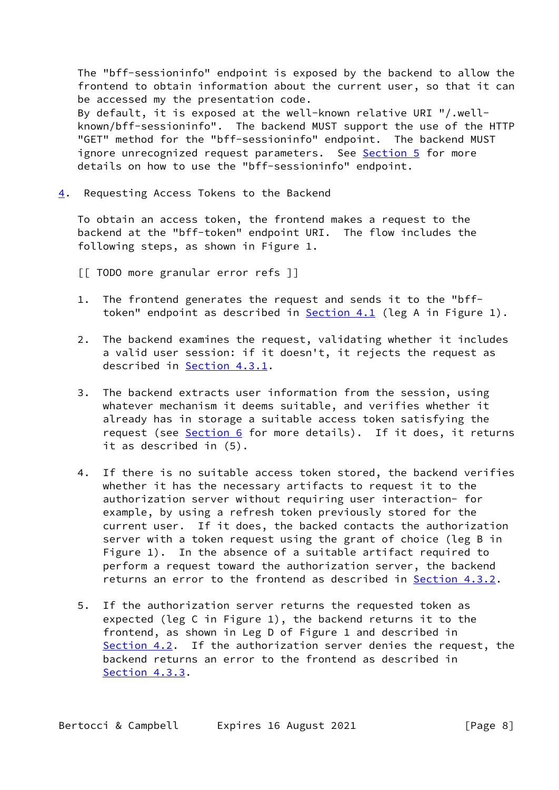The "bff-sessioninfo" endpoint is exposed by the backend to allow the frontend to obtain information about the current user, so that it can be accessed my the presentation code. By default, it is exposed at the well-known relative URI "/.well known/bff-sessioninfo". The backend MUST support the use of the HTTP "GET" method for the "bff-sessioninfo" endpoint. The backend MUST ignore unrecognized request parameters. See [Section 5](#page-11-2) for more details on how to use the "bff-sessioninfo" endpoint.

<span id="page-8-0"></span>[4](#page-8-0). Requesting Access Tokens to the Backend

 To obtain an access token, the frontend makes a request to the backend at the "bff-token" endpoint URI. The flow includes the following steps, as shown in Figure 1.

[[ TODO more granular error refs ]]

- 1. The frontend generates the request and sends it to the "bff- token" endpoint as described in [Section 4.1](#page-9-0) (leg A in Figure 1).
- 2. The backend examines the request, validating whether it includes a valid user session: if it doesn't, it rejects the request as described in [Section 4.3.1](#page-11-0).
- 3. The backend extracts user information from the session, using whatever mechanism it deems suitable, and verifies whether it already has in storage a suitable access token satisfying the request (see [Section 6](#page-13-1) for more details). If it does, it returns it as described in (5).
- 4. If there is no suitable access token stored, the backend verifies whether it has the necessary artifacts to request it to the authorization server without requiring user interaction- for example, by using a refresh token previously stored for the current user. If it does, the backed contacts the authorization server with a token request using the grant of choice (leg B in Figure 1). In the absence of a suitable artifact required to perform a request toward the authorization server, the backend returns an error to the frontend as described in [Section 4.3.2](#page-11-3).
- 5. If the authorization server returns the requested token as expected (leg C in Figure 1), the backend returns it to the frontend, as shown in Leg D of Figure 1 and described in [Section 4.2.](#page-9-2) If the authorization server denies the request, the backend returns an error to the frontend as described in [Section 4.3.3.](#page-11-4)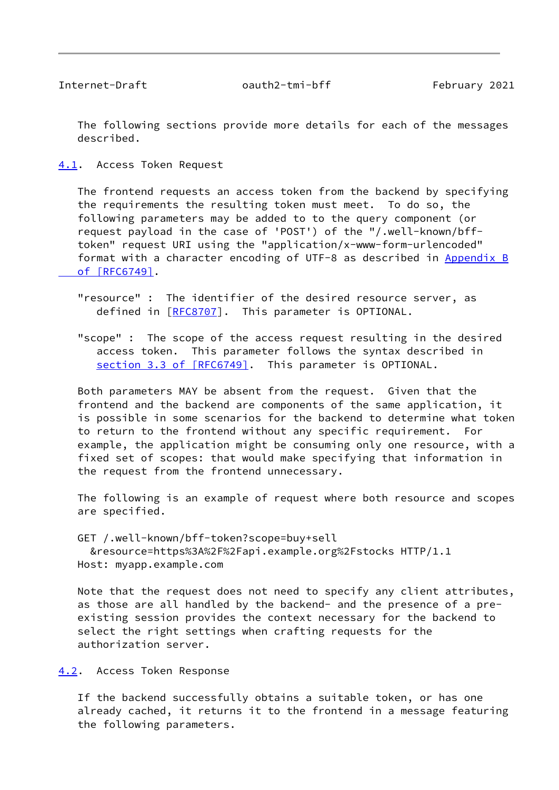<span id="page-9-1"></span>Internet-Draft oauth2-tmi-bff February 2021

 The following sections provide more details for each of the messages described.

<span id="page-9-0"></span>[4.1](#page-9-0). Access Token Request

 The frontend requests an access token from the backend by specifying the requirements the resulting token must meet. To do so, the following parameters may be added to to the query component (or request payload in the case of 'POST') of the "/.well-known/bff token" request URI using the "application/x-www-form-urlencoded" format with a character encoding of UTF-8 as described in [Appendix](https://datatracker.ietf.org/doc/pdf/rfc6749#appendix-B) B  [of \[RFC6749\]](https://datatracker.ietf.org/doc/pdf/rfc6749#appendix-B).

 "resource" : The identifier of the desired resource server, as defined in [[RFC8707](https://datatracker.ietf.org/doc/pdf/rfc8707)]. This parameter is OPTIONAL.

 "scope" : The scope of the access request resulting in the desired access token. This parameter follows the syntax described in section [3.3 of \[RFC6749\].](https://datatracker.ietf.org/doc/pdf/rfc6749#section-3.3) This parameter is OPTIONAL.

 Both parameters MAY be absent from the request. Given that the frontend and the backend are components of the same application, it is possible in some scenarios for the backend to determine what token to return to the frontend without any specific requirement. For example, the application might be consuming only one resource, with a fixed set of scopes: that would make specifying that information in the request from the frontend unnecessary.

 The following is an example of request where both resource and scopes are specified.

 GET /.well-known/bff-token?scope=buy+sell &resource=https%3A%2F%2Fapi.example.org%2Fstocks HTTP/1.1 Host: myapp.example.com

 Note that the request does not need to specify any client attributes, as those are all handled by the backend- and the presence of a pre existing session provides the context necessary for the backend to select the right settings when crafting requests for the authorization server.

<span id="page-9-2"></span>[4.2](#page-9-2). Access Token Response

 If the backend successfully obtains a suitable token, or has one already cached, it returns it to the frontend in a message featuring the following parameters.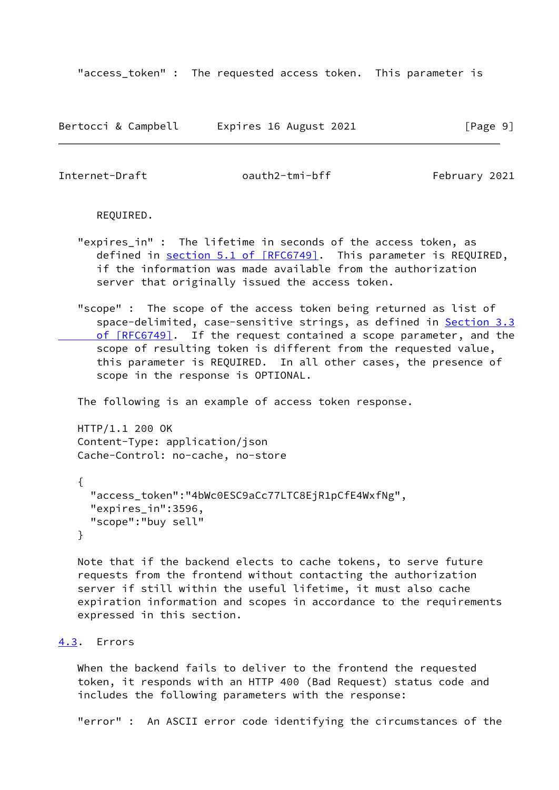"access\_token" : The requested access token. This parameter is

| Bertocci & Campbell | Expires 16 August 2021 | [Page 9] |
|---------------------|------------------------|----------|
|---------------------|------------------------|----------|

<span id="page-10-1"></span>Internet-Draft oauth2-tmi-bff February 2021

REQUIRED.

- "expires\_in" : The lifetime in seconds of the access token, as defined in section [5.1 of \[RFC6749\]](https://datatracker.ietf.org/doc/pdf/rfc6749#section-5.1). This parameter is REQUIRED, if the information was made available from the authorization server that originally issued the access token.
- "scope" : The scope of the access token being returned as list of space-delimited, case-sensitive strings, as defined in [Section](https://datatracker.ietf.org/doc/pdf/rfc6749#section-3.3) 3.3  [of \[RFC6749\].](https://datatracker.ietf.org/doc/pdf/rfc6749#section-3.3) If the request contained a scope parameter, and the scope of resulting token is different from the requested value, this parameter is REQUIRED. In all other cases, the presence of scope in the response is OPTIONAL.

The following is an example of access token response.

 HTTP/1.1 200 OK Content-Type: application/json Cache-Control: no-cache, no-store

```
 {
   "access_token":"4bWc0ESC9aCc77LTC8EjR1pCfE4WxfNg",
   "expires_in":3596,
   "scope":"buy sell"
 }
```
 Note that if the backend elects to cache tokens, to serve future requests from the frontend without contacting the authorization server if still within the useful lifetime, it must also cache expiration information and scopes in accordance to the requirements expressed in this section.

#### <span id="page-10-0"></span>[4.3](#page-10-0). Errors

 When the backend fails to deliver to the frontend the requested token, it responds with an HTTP 400 (Bad Request) status code and includes the following parameters with the response:

"error" : An ASCII error code identifying the circumstances of the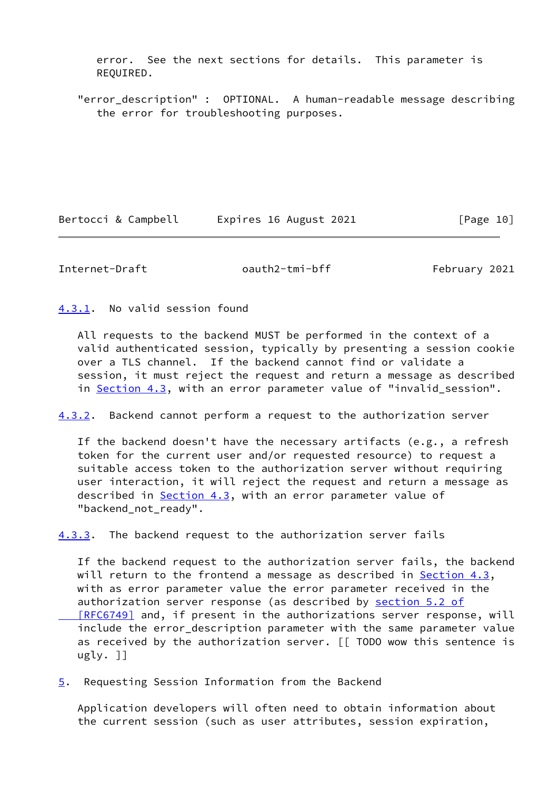error. See the next sections for details. This parameter is REQUIRED.

 "error\_description" : OPTIONAL. A human-readable message describing the error for troubleshooting purposes.

Bertocci & Campbell Expires 16 August 2021 [Page 10]

<span id="page-11-1"></span>Internet-Draft oauth2-tmi-bff February 2021

<span id="page-11-0"></span>[4.3.1](#page-11-0). No valid session found

 All requests to the backend MUST be performed in the context of a valid authenticated session, typically by presenting a session cookie over a TLS channel. If the backend cannot find or validate a session, it must reject the request and return a message as described in [Section 4.3](#page-10-0), with an error parameter value of "invalid\_session".

<span id="page-11-3"></span>[4.3.2](#page-11-3). Backend cannot perform a request to the authorization server

 If the backend doesn't have the necessary artifacts (e.g., a refresh token for the current user and/or requested resource) to request a suitable access token to the authorization server without requiring user interaction, it will reject the request and return a message as described in [Section 4.3](#page-10-0), with an error parameter value of "backend\_not\_ready".

<span id="page-11-4"></span>[4.3.3](#page-11-4). The backend request to the authorization server fails

 If the backend request to the authorization server fails, the backend will return to the frontend a message as described in Section  $4.3$ , with as error parameter value the error parameter received in the authorization server response (as described by [section](https://datatracker.ietf.org/doc/pdf/rfc6749#section-5.2) 5.2 of [RFC6749] and, if present in the authorizations server response, will include the error\_description parameter with the same parameter value as received by the authorization server. [[ TODO wow this sentence is ugly. ]]

<span id="page-11-2"></span>[5](#page-11-2). Requesting Session Information from the Backend

 Application developers will often need to obtain information about the current session (such as user attributes, session expiration,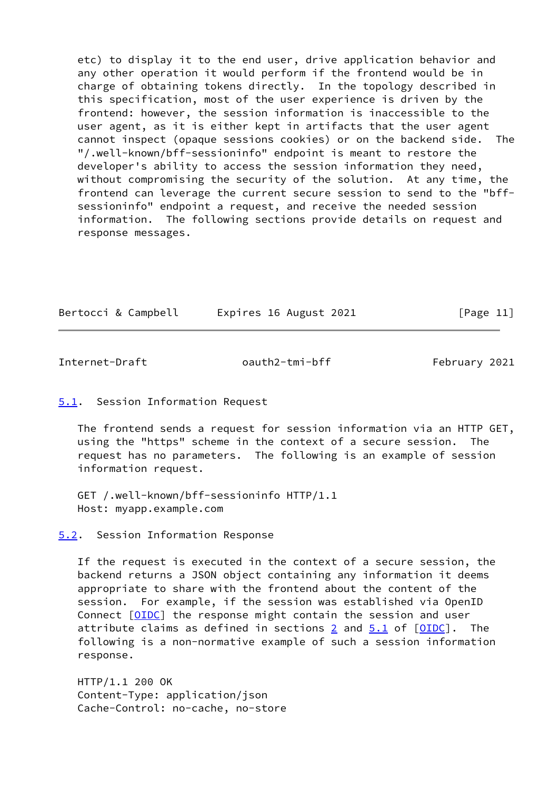etc) to display it to the end user, drive application behavior and any other operation it would perform if the frontend would be in charge of obtaining tokens directly. In the topology described in this specification, most of the user experience is driven by the frontend: however, the session information is inaccessible to the user agent, as it is either kept in artifacts that the user agent cannot inspect (opaque sessions cookies) or on the backend side. The "/.well-known/bff-sessioninfo" endpoint is meant to restore the developer's ability to access the session information they need, without compromising the security of the solution. At any time, the frontend can leverage the current secure session to send to the "bff sessioninfo" endpoint a request, and receive the needed session information. The following sections provide details on request and response messages.

| Bertocci & Campbell |  | Expires 16 August 2021 |  | [Page 11] |  |
|---------------------|--|------------------------|--|-----------|--|
|---------------------|--|------------------------|--|-----------|--|

<span id="page-12-1"></span>Internet-Draft oauth2-tmi-bff February 2021

# <span id="page-12-0"></span>[5.1](#page-12-0). Session Information Request

 The frontend sends a request for session information via an HTTP GET, using the "https" scheme in the context of a secure session. The request has no parameters. The following is an example of session information request.

 GET /.well-known/bff-sessioninfo HTTP/1.1 Host: myapp.example.com

<span id="page-12-2"></span>[5.2](#page-12-2). Session Information Response

 If the request is executed in the context of a secure session, the backend returns a JSON object containing any information it deems appropriate to share with the frontend about the content of the session. For example, if the session was established via OpenID Connect [\[OIDC](#page-16-2)] the response might contain the session and user attribute claims as defined in sections [2](#page-7-0) and  $5.1$  of  $[OIDE]$ . The following is a non-normative example of such a session information response.

 HTTP/1.1 200 OK Content-Type: application/json Cache-Control: no-cache, no-store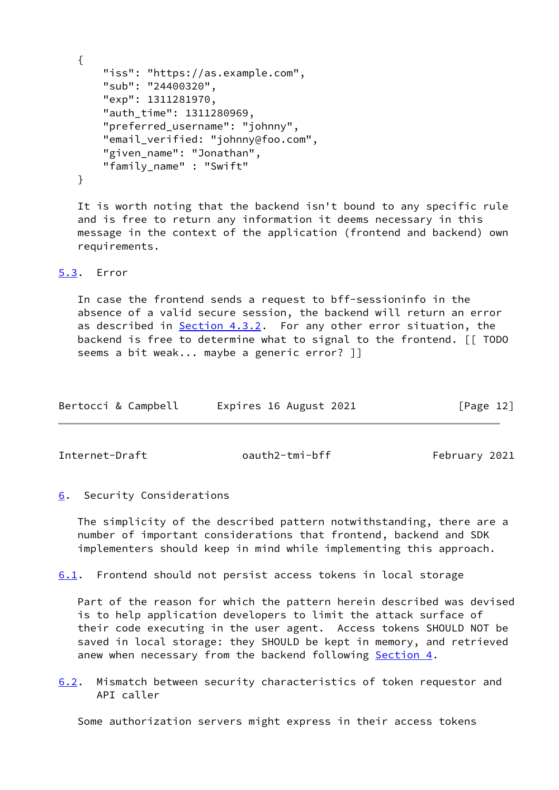```
 {
     "iss": "https://as.example.com",
     "sub": "24400320",
     "exp": 1311281970,
    "auth time": 1311280969,
     "preferred_username": "johnny",
     "email_verified: "johnny@foo.com",
     "given_name": "Jonathan",
     "family_name" : "Swift"
 }
```
 It is worth noting that the backend isn't bound to any specific rule and is free to return any information it deems necessary in this message in the context of the application (frontend and backend) own requirements.

### <span id="page-13-0"></span>[5.3](#page-13-0). Error

 In case the frontend sends a request to bff-sessioninfo in the absence of a valid secure session, the backend will return an error as described in [Section 4.3.2](#page-11-3). For any other error situation, the backend is free to determine what to signal to the frontend. [[ TODO seems a bit weak... maybe a generic error? ]]

| Bertocci & Campbell | Expires 16 August 2021 | [Page 12] |
|---------------------|------------------------|-----------|
|                     |                        |           |

<span id="page-13-2"></span>Internet-Draft oauth2-tmi-bff February 2021

#### <span id="page-13-1"></span>[6](#page-13-1). Security Considerations

 The simplicity of the described pattern notwithstanding, there are a number of important considerations that frontend, backend and SDK implementers should keep in mind while implementing this approach.

<span id="page-13-3"></span>[6.1](#page-13-3). Frontend should not persist access tokens in local storage

 Part of the reason for which the pattern herein described was devised is to help application developers to limit the attack surface of their code executing in the user agent. Access tokens SHOULD NOT be saved in local storage: they SHOULD be kept in memory, and retrieved anew when necessary from the backend following [Section 4.](#page-8-0)

<span id="page-13-4"></span>[6.2](#page-13-4). Mismatch between security characteristics of token requestor and API caller

Some authorization servers might express in their access tokens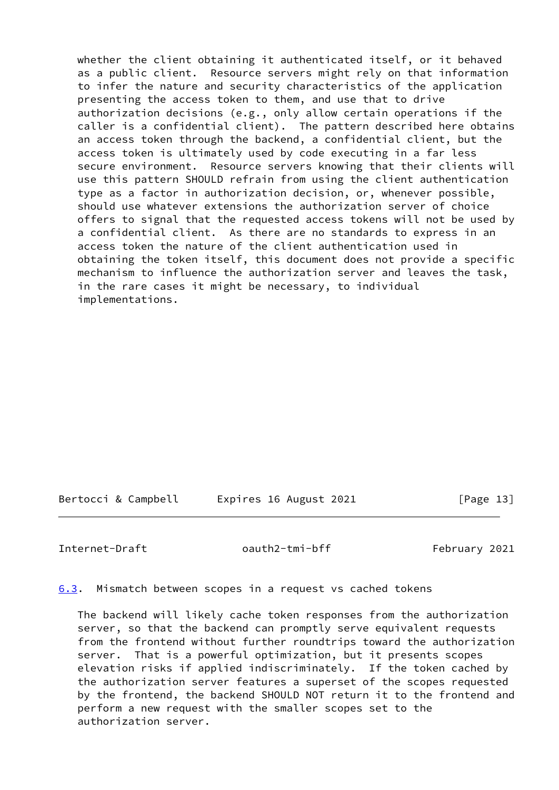whether the client obtaining it authenticated itself, or it behaved as a public client. Resource servers might rely on that information to infer the nature and security characteristics of the application presenting the access token to them, and use that to drive authorization decisions (e.g., only allow certain operations if the caller is a confidential client). The pattern described here obtains an access token through the backend, a confidential client, but the access token is ultimately used by code executing in a far less secure environment. Resource servers knowing that their clients will use this pattern SHOULD refrain from using the client authentication type as a factor in authorization decision, or, whenever possible, should use whatever extensions the authorization server of choice offers to signal that the requested access tokens will not be used by a confidential client. As there are no standards to express in an access token the nature of the client authentication used in obtaining the token itself, this document does not provide a specific mechanism to influence the authorization server and leaves the task, in the rare cases it might be necessary, to individual implementations.

Bertocci & Campbell Expires 16 August 2021 [Page 13]

<span id="page-14-1"></span>Internet-Draft oauth2-tmi-bff February 2021

<span id="page-14-0"></span>[6.3](#page-14-0). Mismatch between scopes in a request vs cached tokens

 The backend will likely cache token responses from the authorization server, so that the backend can promptly serve equivalent requests from the frontend without further roundtrips toward the authorization server. That is a powerful optimization, but it presents scopes elevation risks if applied indiscriminately. If the token cached by the authorization server features a superset of the scopes requested by the frontend, the backend SHOULD NOT return it to the frontend and perform a new request with the smaller scopes set to the authorization server.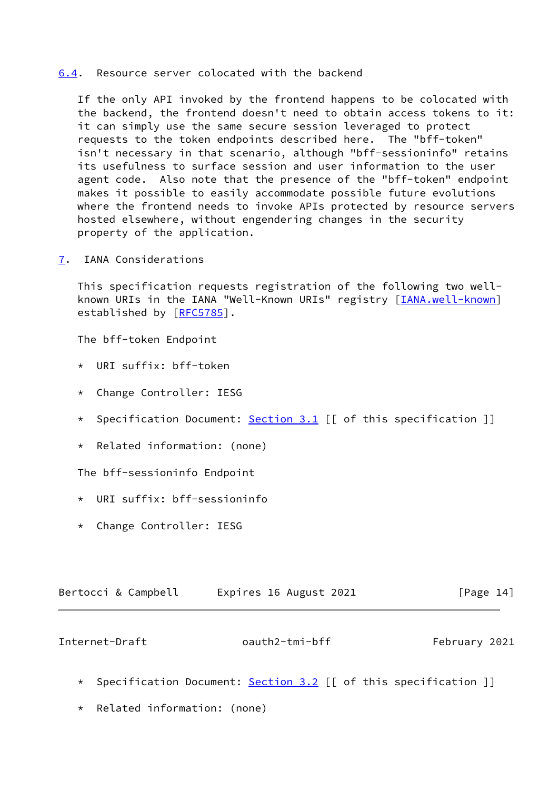#### <span id="page-15-0"></span>[6.4](#page-15-0). Resource server colocated with the backend

 If the only API invoked by the frontend happens to be colocated with the backend, the frontend doesn't need to obtain access tokens to it: it can simply use the same secure session leveraged to protect requests to the token endpoints described here. The "bff-token" isn't necessary in that scenario, although "bff-sessioninfo" retains its usefulness to surface session and user information to the user agent code. Also note that the presence of the "bff-token" endpoint makes it possible to easily accommodate possible future evolutions where the frontend needs to invoke APIs protected by resource servers hosted elsewhere, without engendering changes in the security property of the application.

<span id="page-15-1"></span>[7](#page-15-1). IANA Considerations

 This specification requests registration of the following two well- known URIs in the IANA "Well-Known URIs" registry [[IANA.well-known](#page-17-5)] established by [\[RFC5785](https://datatracker.ietf.org/doc/pdf/rfc5785)].

The bff-token Endpoint

- \* URI suffix: bff-token
- \* Change Controller: IESG
- \* Specification Document: [Section 3.1](#page-7-2) [[ of this specification ]]
- \* Related information: (none)

The bff-sessioninfo Endpoint

- \* URI suffix: bff-sessioninfo
- \* Change Controller: IESG

| [Page 14]<br>Expires 16 August 2021<br>Bertocci & Campbell |
|------------------------------------------------------------|
|                                                            |

<span id="page-15-2"></span>Internet-Draft oauth2-tmi-bff February 2021

- \* Specification Document: [Section 3.2](#page-7-3) [[ of this specification ]]
- \* Related information: (none)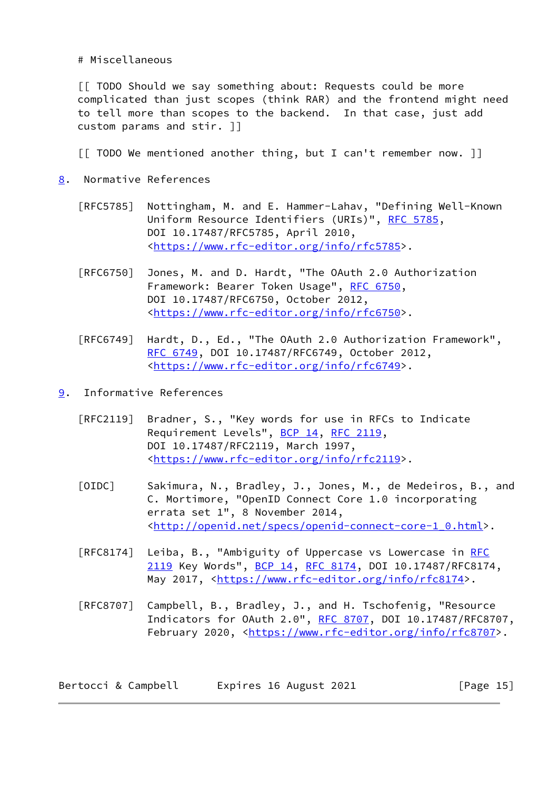# Miscellaneous

 [[ TODO Should we say something about: Requests could be more complicated than just scopes (think RAR) and the frontend might need to tell more than scopes to the backend. In that case, just add custom params and stir. ]]

[[ TODO We mentioned another thing, but I can't remember now. ]]

- <span id="page-16-0"></span>[8](#page-16-0). Normative References
	- [RFC5785] Nottingham, M. and E. Hammer-Lahav, "Defining Well-Known Uniform Resource Identifiers (URIs)", [RFC 5785](https://datatracker.ietf.org/doc/pdf/rfc5785), DOI 10.17487/RFC5785, April 2010, <[https://www.rfc-editor.org/info/rfc5785>](https://www.rfc-editor.org/info/rfc5785).
	- [RFC6750] Jones, M. and D. Hardt, "The OAuth 2.0 Authorization Framework: Bearer Token Usage", [RFC 6750,](https://datatracker.ietf.org/doc/pdf/rfc6750) DOI 10.17487/RFC6750, October 2012, <[https://www.rfc-editor.org/info/rfc6750>](https://www.rfc-editor.org/info/rfc6750).
	- [RFC6749] Hardt, D., Ed., "The OAuth 2.0 Authorization Framework", [RFC 6749,](https://datatracker.ietf.org/doc/pdf/rfc6749) DOI 10.17487/RFC6749, October 2012, <[https://www.rfc-editor.org/info/rfc6749>](https://www.rfc-editor.org/info/rfc6749).
- <span id="page-16-2"></span><span id="page-16-1"></span>[9](#page-16-1). Informative References
	- [RFC2119] Bradner, S., "Key words for use in RFCs to Indicate Requirement Levels", [BCP 14](https://datatracker.ietf.org/doc/pdf/bcp14), [RFC 2119](https://datatracker.ietf.org/doc/pdf/rfc2119), DOI 10.17487/RFC2119, March 1997, <[https://www.rfc-editor.org/info/rfc2119>](https://www.rfc-editor.org/info/rfc2119).
	- [OIDC] Sakimura, N., Bradley, J., Jones, M., de Medeiros, B., and C. Mortimore, "OpenID Connect Core 1.0 incorporating errata set 1", 8 November 2014, <[http://openid.net/specs/openid-connect-core-1\\_0.html>](http://openid.net/specs/openid-connect-core-1_0.html).
	- [RFC8174] Leiba, B., "Ambiguity of Uppercase vs Lowercase in [RFC](https://datatracker.ietf.org/doc/pdf/rfc2119) [2119](https://datatracker.ietf.org/doc/pdf/rfc2119) Key Words", [BCP 14](https://datatracker.ietf.org/doc/pdf/bcp14), [RFC 8174,](https://datatracker.ietf.org/doc/pdf/rfc8174) DOI 10.17487/RFC8174, May 2017, [<https://www.rfc-editor.org/info/rfc8174](https://www.rfc-editor.org/info/rfc8174)>.
	- [RFC8707] Campbell, B., Bradley, J., and H. Tschofenig, "Resource Indicators for OAuth 2.0", [RFC 8707](https://datatracker.ietf.org/doc/pdf/rfc8707), DOI 10.17487/RFC8707, February 2020, <<https://www.rfc-editor.org/info/rfc8707>>.

| Bertocci & Campbell | Expires 16 August 2021 | [Page 15] |
|---------------------|------------------------|-----------|
|---------------------|------------------------|-----------|